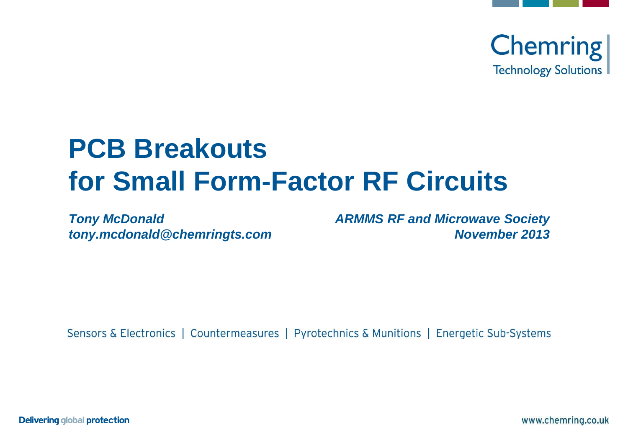

# **PCB Breakouts for Small Form-Factor RF Circuits**

*Tony McDonald tony.mcdonald@chemringts.com* *ARMMS RF and Microwave Society November 2013*

Sensors & Electronics | Countermeasures | Pyrotechnics & Munitions | Energetic Sub-Systems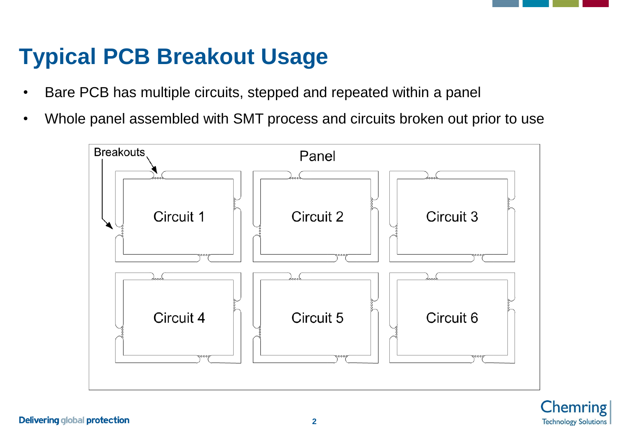### **Typical PCB Breakout Usage**

- Bare PCB has multiple circuits, stepped and repeated within a panel
- Whole panel assembled with SMT process and circuits broken out prior to use

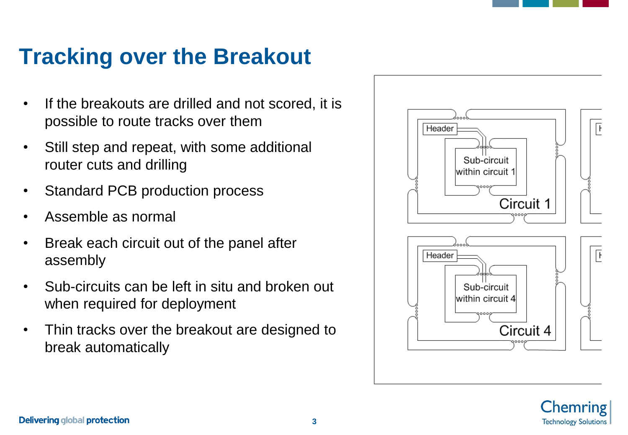### **Tracking over the Breakout**

- If the breakouts are drilled and not scored, it is possible to route tracks over them
- Still step and repeat, with some additional router cuts and drilling
- Standard PCB production process
- Assemble as normal
- Break each circuit out of the panel after assembly
- Sub-circuits can be left in situ and broken out when required for deployment
- Thin tracks over the breakout are designed to break automatically



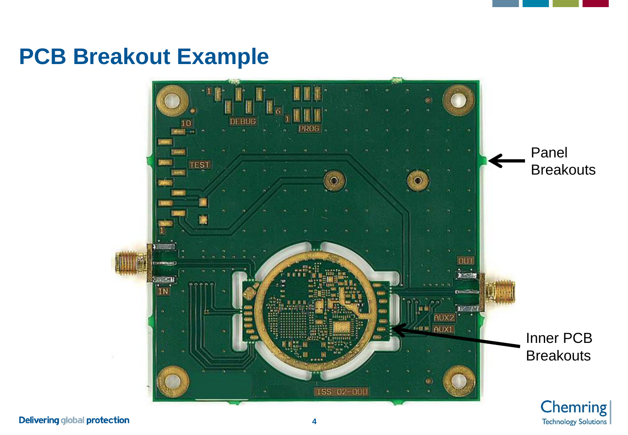### **PCB Breakout Example**

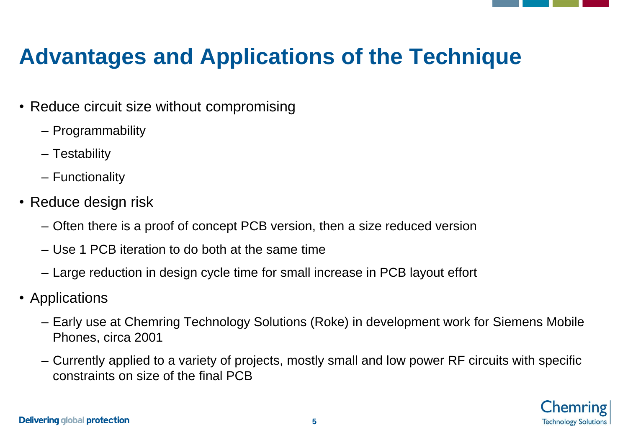# **Advantages and Applications of the Technique**

- Reduce circuit size without compromising
	- Programmability
	- Testability
	- Functionality
- Reduce design risk
	- Often there is a proof of concept PCB version, then a size reduced version
	- Use 1 PCB iteration to do both at the same time
	- Large reduction in design cycle time for small increase in PCB layout effort
- Applications
	- Early use at Chemring Technology Solutions (Roke) in development work for Siemens Mobile Phones, circa 2001
	- Currently applied to a variety of projects, mostly small and low power RF circuits with specific constraints on size of the final PCB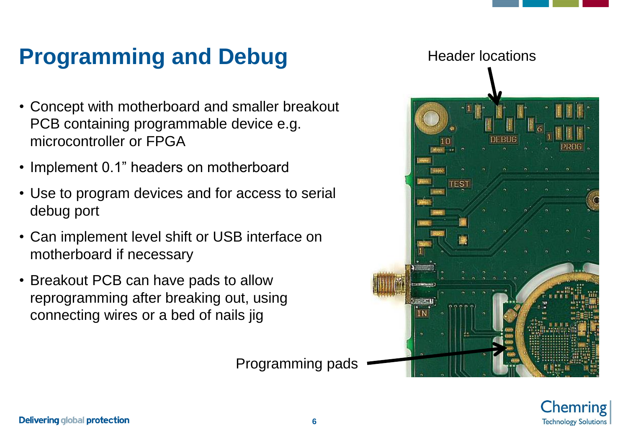# **Programming and Debug**

- Concept with motherboard and smaller breakout PCB containing programmable device e.g. microcontroller or FPGA
- Implement 0.1" headers on motherboard
- Use to program devices and for access to serial debug port
- Can implement level shift or USB interface on motherboard if necessary
- Breakout PCB can have pads to allow reprogramming after breaking out, using connecting wires or a bed of nails jig





Programming pads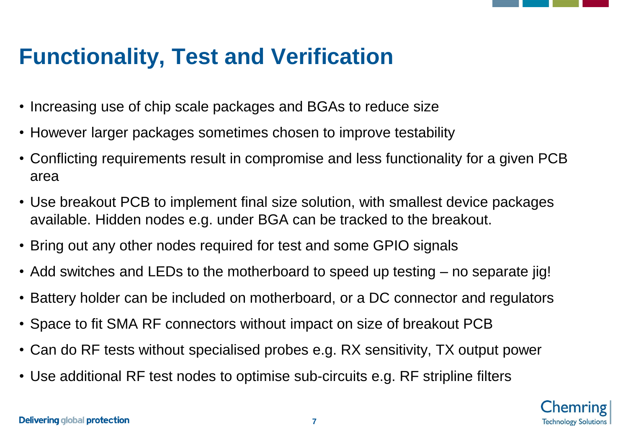### **Functionality, Test and Verification**

- Increasing use of chip scale packages and BGAs to reduce size
- However larger packages sometimes chosen to improve testability
- Conflicting requirements result in compromise and less functionality for a given PCB area
- Use breakout PCB to implement final size solution, with smallest device packages available. Hidden nodes e.g. under BGA can be tracked to the breakout.
- Bring out any other nodes required for test and some GPIO signals
- Add switches and LEDs to the motherboard to speed up testing no separate jig!
- Battery holder can be included on motherboard, or a DC connector and regulators
- Space to fit SMA RF connectors without impact on size of breakout PCB
- Can do RF tests without specialised probes e.g. RX sensitivity, TX output power
- Use additional RF test nodes to optimise sub-circuits e.g. RF stripline filters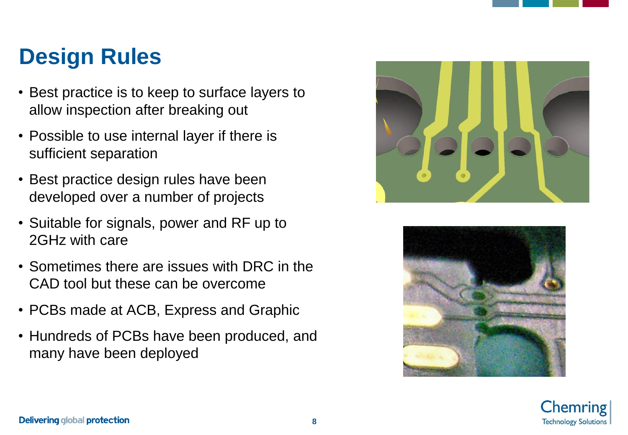### **Design Rules**

- Best practice is to keep to surface layers to allow inspection after breaking out
- Possible to use internal layer if there is sufficient separation
- Best practice design rules have been developed over a number of projects
- Suitable for signals, power and RF up to 2GHz with care
- Sometimes there are issues with DRC in the CAD tool but these can be overcome
- PCBs made at ACB, Express and Graphic
- Hundreds of PCBs have been produced, and many have been deployed





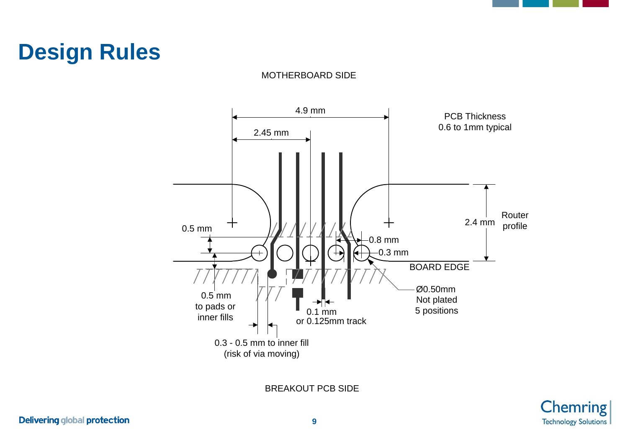### **Design Rules**



MOTHERBOARD SIDE

BREAKOUT PCB SIDE

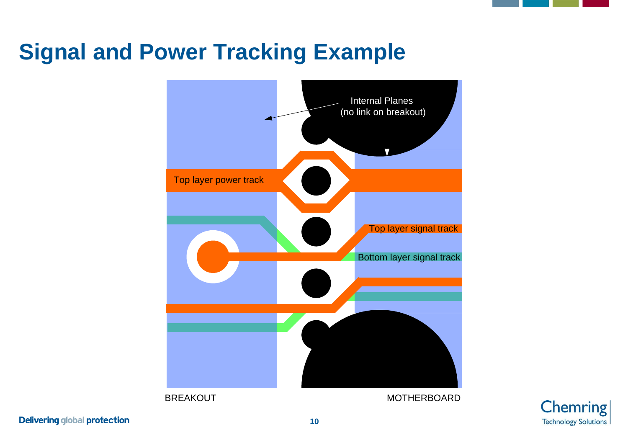### **Signal and Power Tracking Example**





**Delivering global protection**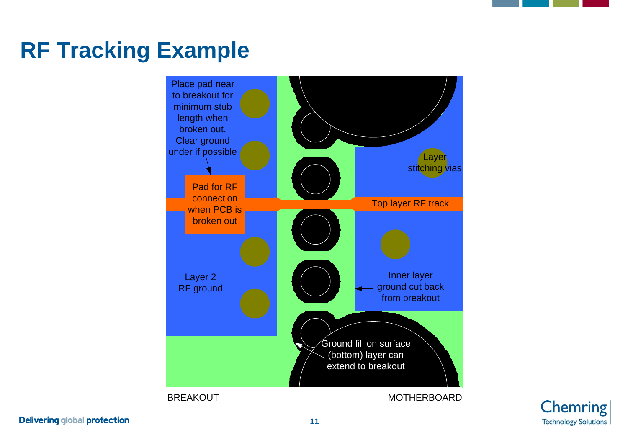### **RF Tracking Example**





**Delivering global protection**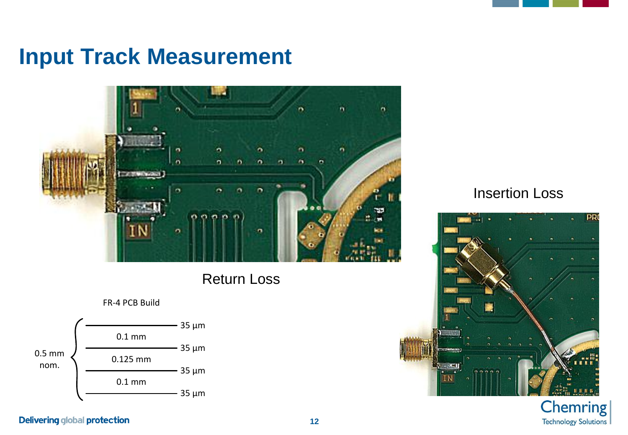### **Input Track Measurement**



### Return Loss



### Insertion Loss



### **Chemring Technology Solutions**

### **Delivering global protection**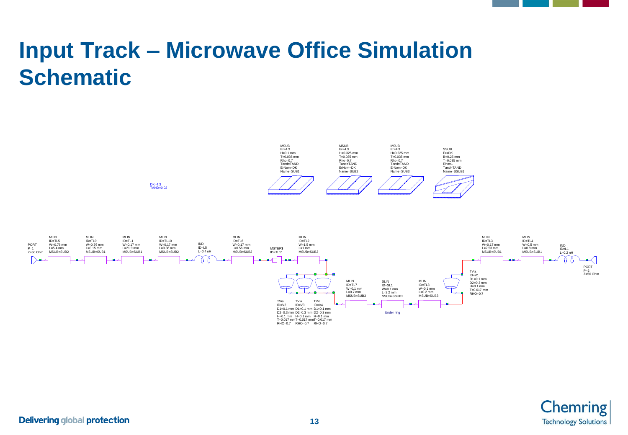# **Input Track – Microwave Office Simulation Schematic**



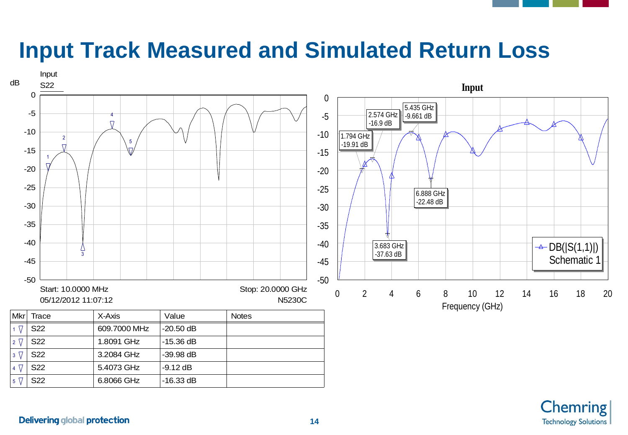### **Input Track Measured and Simulated Return Loss**

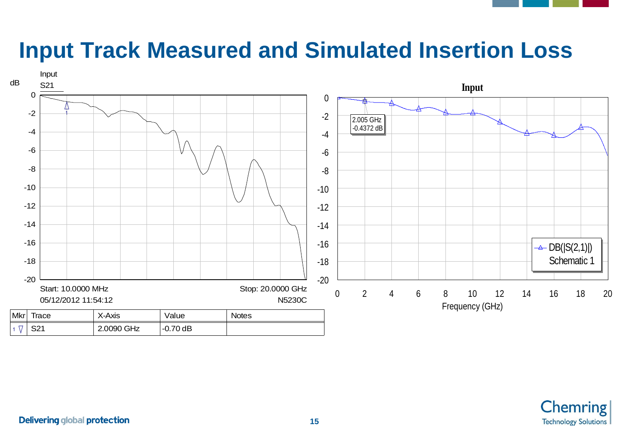### **Input Track Measured and Simulated Insertion Loss**



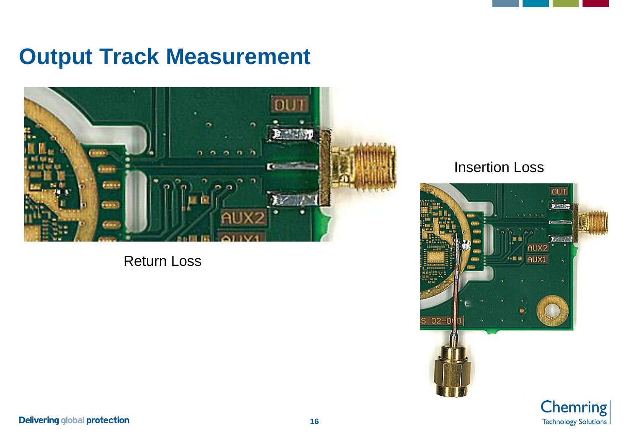### **Output Track Measurement**



Return Loss

### Insertion Loss



**Technology Solutions**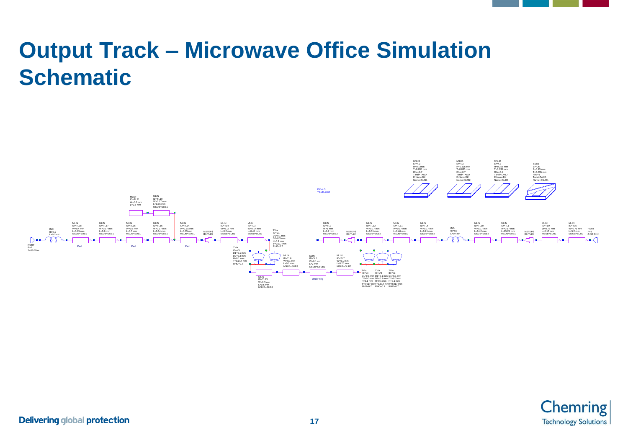### **Output Track – Microwave Office Simulation Schematic**



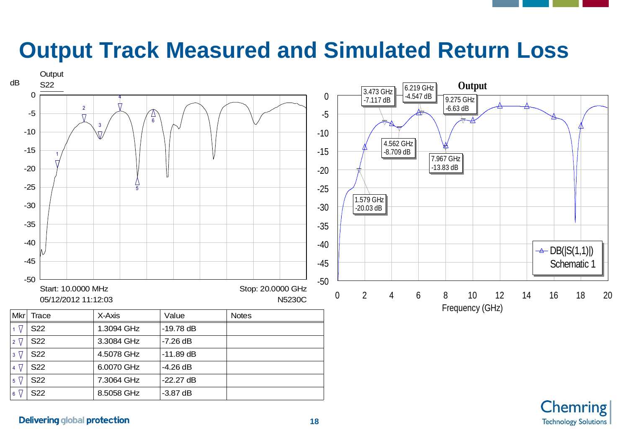### **Output Track Measured and Simulated Return Loss**



**Chemring** 

**Technology Solutions**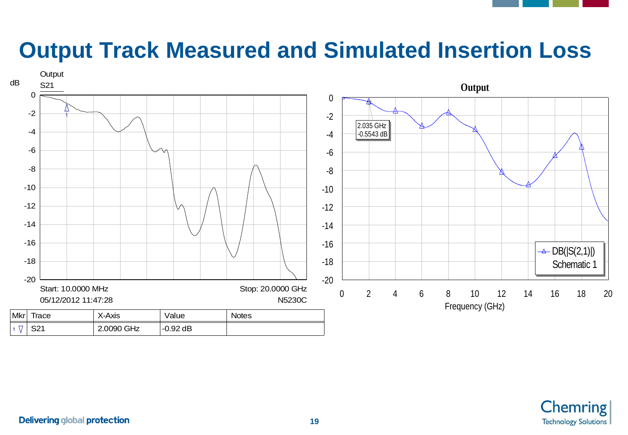### **Output Track Measured and Simulated Insertion Loss**



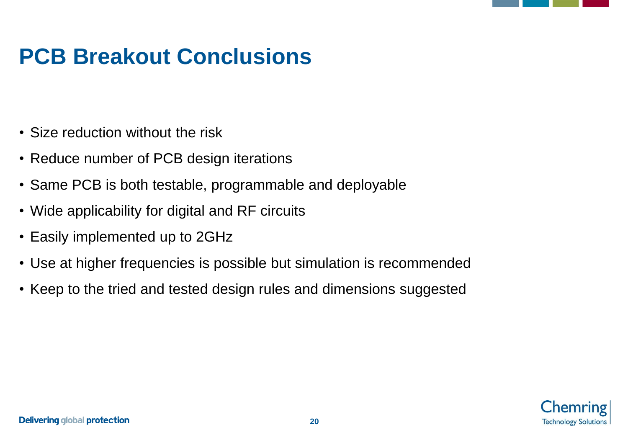### **PCB Breakout Conclusions**

- Size reduction without the risk
- Reduce number of PCB design iterations
- Same PCB is both testable, programmable and deployable
- Wide applicability for digital and RF circuits
- Easily implemented up to 2GHz
- Use at higher frequencies is possible but simulation is recommended
- Keep to the tried and tested design rules and dimensions suggested